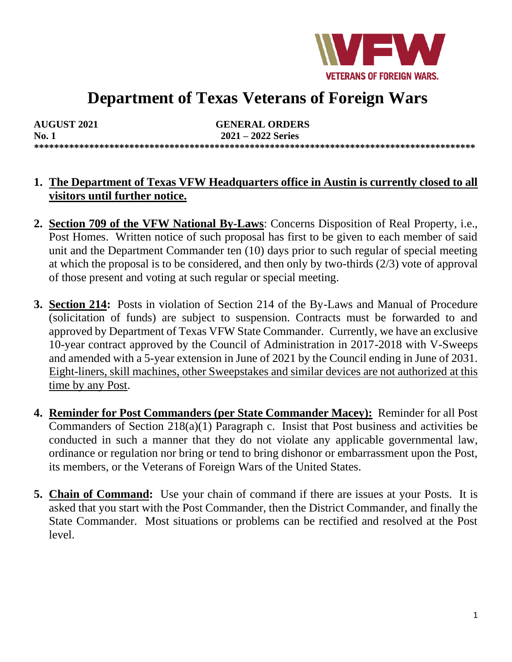

# **Department of Texas Veterans of Foreign Wars**

| <b>AUGUST 2021</b> | <b>GENERAL ORDERS</b> |
|--------------------|-----------------------|
| <b>No. 1</b>       | $2021 - 2022$ Series  |
|                    |                       |

#### **1. The Department of Texas VFW Headquarters office in Austin is currently closed to all visitors until further notice.**

- **2. Section 709 of the VFW National By-Laws**: Concerns Disposition of Real Property, i.e., Post Homes. Written notice of such proposal has first to be given to each member of said unit and the Department Commander ten (10) days prior to such regular of special meeting at which the proposal is to be considered, and then only by two-thirds (2/3) vote of approval of those present and voting at such regular or special meeting.
- **3. Section 214:** Posts in violation of Section 214 of the By-Laws and Manual of Procedure (solicitation of funds) are subject to suspension. Contracts must be forwarded to and approved by Department of Texas VFW State Commander. Currently, we have an exclusive 10-year contract approved by the Council of Administration in 2017-2018 with V-Sweeps and amended with a 5-year extension in June of 2021 by the Council ending in June of 2031. Eight-liners, skill machines, other Sweepstakes and similar devices are not authorized at this time by any Post.
- **4. Reminder for Post Commanders (per State Commander Macey):** Reminder for all Post Commanders of Section 218(a)(1) Paragraph c. Insist that Post business and activities be conducted in such a manner that they do not violate any applicable governmental law, ordinance or regulation nor bring or tend to bring dishonor or embarrassment upon the Post, its members, or the Veterans of Foreign Wars of the United States.
- **5. Chain of Command:** Use your chain of command if there are issues at your Posts. It is asked that you start with the Post Commander, then the District Commander, and finally the State Commander. Most situations or problems can be rectified and resolved at the Post level.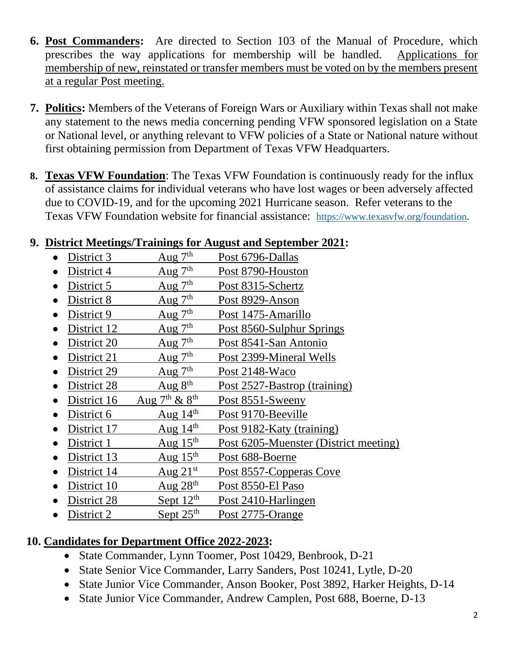- **6. Post Commanders:** Are directed to Section 103 of the Manual of Procedure, which prescribes the way applications for membership will be handled. Applications for membership of new, reinstated or transfer members must be voted on by the members present at a regular Post meeting.
- **7. Politics:** Members of the Veterans of Foreign Wars or Auxiliary within Texas shall not make any statement to the news media concerning pending VFW sponsored legislation on a State or National level, or anything relevant to VFW policies of a State or National nature without first obtaining permission from Department of Texas VFW Headquarters.
- **8. Texas VFW Foundation**: The Texas VFW Foundation is continuously ready for the influx of assistance claims for individual veterans who have lost wages or been adversely affected due to COVID-19, and for the upcoming 2021 Hurricane season. Refer veterans to the Texas VFW Foundation website for financial assistance: [https://www.texasvfw.org/foundation.](https://www.texasvfw.org/foundation)

## **9. District Meetings/Trainings for August and September 2021:**

- District 3 Aug  $7<sup>th</sup>$  Post 6796-Dallas
- District 4 Aug  $7<sup>th</sup>$  Post 8790-Houston • District 5 Aug  $7<sup>th</sup>$  Post 8315-Schertz
- District 8 Aug  $7<sup>th</sup>$  Post 8929-Anson
- 
- District 9  $\qquad \qquad$  Aug 7<sup>th</sup> Post 1475-Amarillo
- District 12 Aug  $7<sup>th</sup>$  Post 8560-Sulphur Springs
- District 20 Aug  $7<sup>th</sup>$  Post 8541-San Antonio
- District 21 Aug  $7<sup>th</sup>$  Post 2399-Mineral Wells
- District 29 Aug  $7<sup>th</sup>$  Post 2148-Waco
- District 28 Aug  $8<sup>th</sup>$  Post 2527-Bastrop (training)
- District 16 Aug  $7<sup>th</sup>$  &  $8<sup>th</sup>$  Post 8551-Sweeny
- District 6  $\qquad \qquad$  Aug 14<sup>th</sup> Post 9170-Beeville
- District 17 Aug  $14<sup>th</sup>$  Post 9182-Katy (training)
- District 1 Aug 15<sup>th</sup> Post 6205-Muenster (District meeting)
- District 13 Aug  $15<sup>th</sup>$  Post 688-Boerne
- District 14 Aug  $21^{st}$  Post 8557-Copperas Cove
- District 10  $Aug 28<sup>th</sup>$  Post 8550-El Paso
- District 28 Sept  $12<sup>th</sup>$  Post 2410-Harlingen
- District 2 Sept 25<sup>th</sup> Post 2775-Orange

# **10. Candidates for Department Office 2022-2023:**

- State Commander, Lynn Toomer, Post 10429, Benbrook, D-21
- State Senior Vice Commander, Larry Sanders, Post 10241, Lytle, D-20
- State Junior Vice Commander, Anson Booker, Post 3892, Harker Heights, D-14
- State Junior Vice Commander, Andrew Camplen, Post 688, Boerne, D-13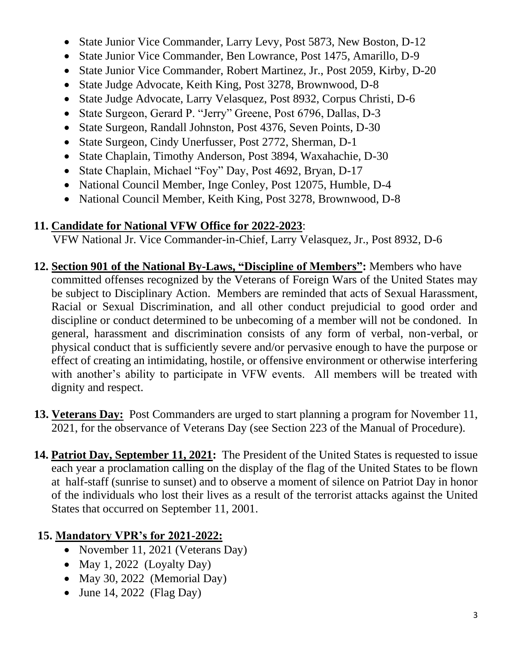- State Junior Vice Commander, Larry Levy, Post 5873, New Boston, D-12
- State Junior Vice Commander, Ben Lowrance, Post 1475, Amarillo, D-9
- State Junior Vice Commander, Robert Martinez, Jr., Post 2059, Kirby, D-20
- State Judge Advocate, Keith King, Post 3278, Brownwood, D-8
- State Judge Advocate, Larry Velasquez, Post 8932, Corpus Christi, D-6
- State Surgeon, Gerard P. "Jerry" Greene, Post 6796, Dallas, D-3
- State Surgeon, Randall Johnston, Post 4376, Seven Points, D-30
- State Surgeon, Cindy Unerfusser, Post 2772, Sherman, D-1
- State Chaplain, Timothy Anderson, Post 3894, Waxahachie, D-30
- State Chaplain, Michael "Foy" Day, Post 4692, Bryan, D-17
- National Council Member, Inge Conley, Post 12075, Humble, D-4
- National Council Member, Keith King, Post 3278, Brownwood, D-8

## **11. Candidate for National VFW Office for 2022-2023**:

VFW National Jr. Vice Commander-in-Chief, Larry Velasquez, Jr., Post 8932, D-6

- **12. Section 901 of the National By-Laws, "Discipline of Members":** Members who have committed offenses recognized by the Veterans of Foreign Wars of the United States may be subject to Disciplinary Action. Members are reminded that acts of Sexual Harassment, Racial or Sexual Discrimination, and all other conduct prejudicial to good order and discipline or conduct determined to be unbecoming of a member will not be condoned. In general, harassment and discrimination consists of any form of verbal, non-verbal, or physical conduct that is sufficiently severe and/or pervasive enough to have the purpose or effect of creating an intimidating, hostile, or offensive environment or otherwise interfering with another's ability to participate in VFW events. All members will be treated with dignity and respect.
- **13. Veterans Day:** Post Commanders are urged to start planning a program for November 11, 2021, for the observance of Veterans Day (see Section 223 of the Manual of Procedure).
- **14. Patriot Day, September 11, 2021:** The President of the United States is requested to issue each year a proclamation calling on the display of the flag of the United States to be flown at half-staff (sunrise to sunset) and to observe a moment of silence on Patriot Day in honor of the individuals who lost their lives as a result of the terrorist attacks against the United States that occurred on September 11, 2001.

# **15. Mandatory VPR's for 2021-2022:**

- November 11, 2021 (Veterans Day)
- May 1, 2022 (Loyalty Day)
- May 30, 2022 (Memorial Day)
- June 14, 2022 (Flag Day)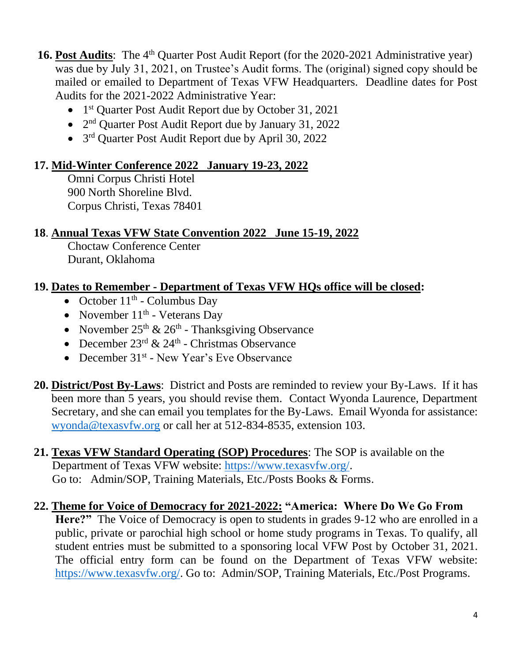**16. Post Audits**: The 4<sup>th</sup> Quarter Post Audit Report (for the 2020-2021 Administrative year) was due by July 31, 2021, on Trustee's Audit forms. The (original) signed copy should be mailed or emailed to Department of Texas VFW Headquarters. Deadline dates for Post Audits for the 2021-2022 Administrative Year:

- 1<sup>st</sup> Quarter Post Audit Report due by October 31, 2021
- 2<sup>nd</sup> Quarter Post Audit Report due by January 31, 2022
- 3<sup>rd</sup> Quarter Post Audit Report due by April 30, 2022

## **17. Mid-Winter Conference 2022 January 19-23, 2022**

Omni Corpus Christi Hotel 900 North Shoreline Blvd. Corpus Christi, Texas 78401

#### **18**. **Annual Texas VFW State Convention 2022 June 15-19, 2022**

Choctaw Conference Center Durant, Oklahoma

## **19. Dates to Remember - Department of Texas VFW HQs office will be closed:**

- October  $11<sup>th</sup>$  Columbus Day
- November  $11<sup>th</sup>$  Veterans Day
- November  $25<sup>th</sup>$  &  $26<sup>th</sup>$  Thanksgiving Observance
- December  $23^{\text{rd}} \& 24^{\text{th}}$  Christmas Observance
- December 31<sup>st</sup> New Year's Eve Observance
- **20. District/Post By-Laws**: District and Posts are reminded to review your By-Laws. If it has been more than 5 years, you should revise them. Contact Wyonda Laurence, Department Secretary, and she can email you templates for the By-Laws. Email Wyonda for assistance: [wyonda@texasvfw.org](mailto:wyonda@texasvfw.org) or call her at 512-834-8535, extension 103.
- **21. Texas VFW Standard Operating (SOP) Procedures**: The SOP is available on the Department of Texas VFW website: [https://www.texasvfw.org/.](https://www.texasvfw.org/) Go to: Admin/SOP, Training Materials, Etc./Posts Books & Forms.

#### **22. Theme for Voice of Democracy for 2021-2022: "America: Where Do We Go From Here?"** The Voice of Democracy is open to students in grades 9-12 who are enrolled in a public, private or parochial high school or home study programs in Texas. To qualify, all student entries must be submitted to a sponsoring local VFW Post by October 31, 2021. The official entry form can be found on the Department of Texas VFW website: [https://www.texasvfw.org/.](https://www.texasvfw.org/) Go to: Admin/SOP, Training Materials, Etc./Post Programs.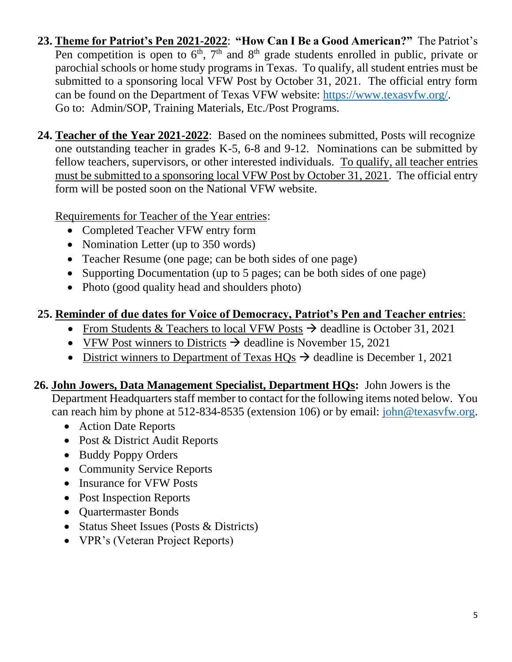- **23. Theme for Patriot's Pen 2021-2022**: **"How Can I Be a Good American?"** The Patriot's Pen competition is open to  $6<sup>th</sup>$ ,  $7<sup>th</sup>$  and  $8<sup>th</sup>$  grade students enrolled in public, private or parochial schools or home study programs in Texas. To qualify, all student entries must be submitted to a sponsoring local VFW Post by October 31, 2021. The official entry form can be found on the Department of Texas VFW website: [https://www.texasvfw.org/.](https://www.texasvfw.org/) Go to: Admin/SOP, Training Materials, Etc./Post Programs.
- **24. Teacher of the Year 2021-2022**: Based on the nominees submitted, Posts will recognize one outstanding teacher in grades K-5, 6-8 and 9-12. Nominations can be submitted by fellow teachers, supervisors, or other interested individuals. To qualify, all teacher entries must be submitted to a sponsoring local VFW Post by October 31, 2021. The official entry form will be posted soon on the National VFW website.

Requirements for Teacher of the Year entries:

- Completed Teacher VFW entry form
- Nomination Letter (up to 350 words)
- Teacher Resume (one page; can be both sides of one page)
- Supporting Documentation (up to 5 pages; can be both sides of one page)
- Photo (good quality head and shoulders photo)

## **25. Reminder of due dates for Voice of Democracy, Patriot's Pen and Teacher entries**:

- From Students & Teachers to local VFW Posts  $\rightarrow$  deadline is October 31, 2021
- VFW Post winners to Districts  $\rightarrow$  deadline is November 15, 2021
- District winners to Department of Texas  $HOs \rightarrow$  deadline is December 1, 2021

**26. John Jowers, Data Management Specialist, Department HQs:** John Jowers is the Department Headquarters staff member to contact for the following items noted below. You can reach him by phone at 512-834-8535 (extension 106) or by email: [john@texasvfw.org.](mailto:john@texasvfw.org)

- Action Date Reports
- Post & District Audit Reports
- Buddy Poppy Orders
- Community Service Reports
- Insurance for VFW Posts
- Post Inspection Reports
- Quartermaster Bonds
- Status Sheet Issues (Posts & Districts)
- VPR's (Veteran Project Reports)